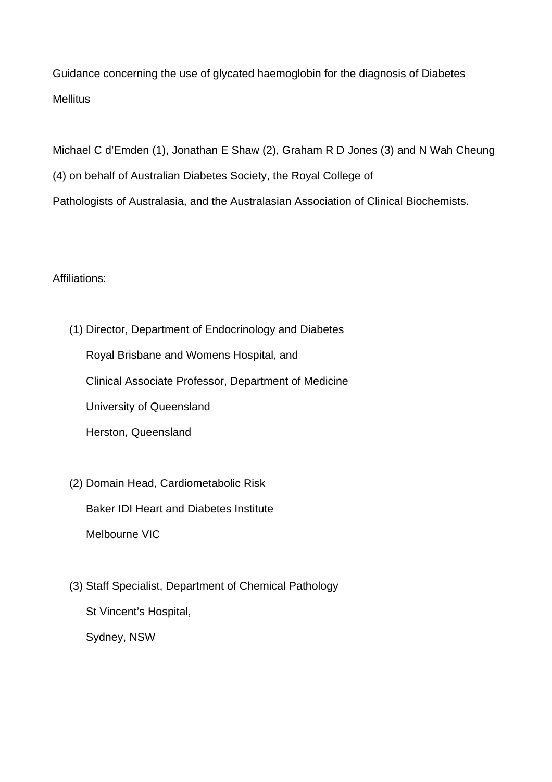Guidance concerning the use of glycated haemoglobin for the diagnosis of Diabetes **Mellitus** 

Michael C d'Emden (1), Jonathan E Shaw (2), Graham R D Jones (3) and N Wah Cheung (4) on behalf of Australian Diabetes Society, the Royal College of Pathologists of Australasia, and the Australasian Association of Clinical Biochemists.

Affiliations:

- (1) Director, Department of Endocrinology and Diabetes Royal Brisbane and Womens Hospital, and Clinical Associate Professor, Department of Medicine University of Queensland Herston, Queensland
- (2) Domain Head, Cardiometabolic Risk Baker IDI Heart and Diabetes Institute Melbourne VIC
- (3) Staff Specialist, Department of Chemical Pathology St Vincent's Hospital, Sydney, NSW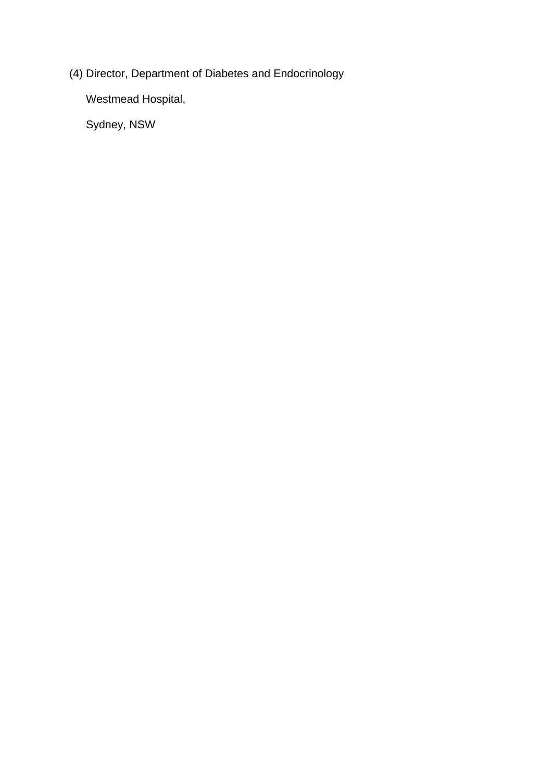(4) Director, Department of Diabetes and Endocrinology

Westmead Hospital,

Sydney, NSW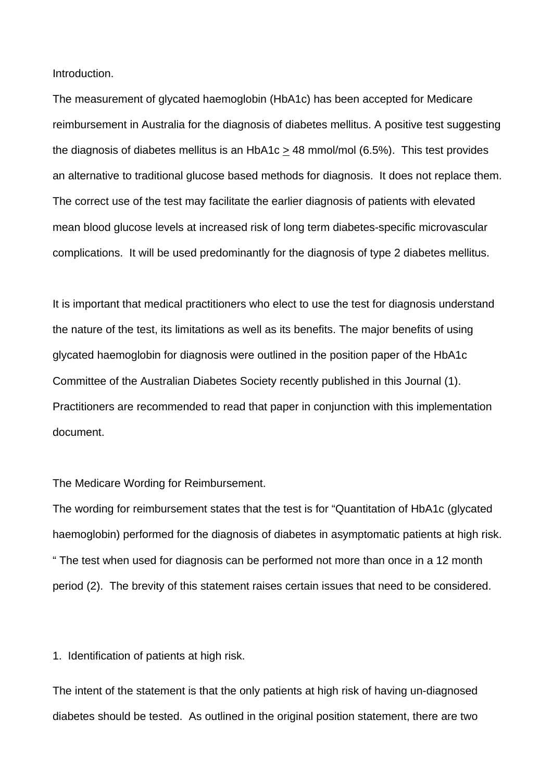Introduction.

The measurement of glycated haemoglobin (HbA1c) has been accepted for Medicare reimbursement in Australia for the diagnosis of diabetes mellitus. A positive test suggesting the diagnosis of diabetes mellitus is an HbA1c > 48 mmol/mol (6.5%). This test provides an alternative to traditional glucose based methods for diagnosis. It does not replace them. The correct use of the test may facilitate the earlier diagnosis of patients with elevated mean blood glucose levels at increased risk of long term diabetes-specific microvascular complications. It will be used predominantly for the diagnosis of type 2 diabetes mellitus.

It is important that medical practitioners who elect to use the test for diagnosis understand the nature of the test, its limitations as well as its benefits. The major benefits of using glycated haemoglobin for diagnosis were outlined in the position paper of the HbA1c Committee of the Australian Diabetes Society recently published in this Journal (1). Practitioners are recommended to read that paper in conjunction with this implementation document.

#### The Medicare Wording for Reimbursement.

The wording for reimbursement states that the test is for "Quantitation of HbA1c (glycated haemoglobin) performed for the diagnosis of diabetes in asymptomatic patients at high risk. " The test when used for diagnosis can be performed not more than once in a 12 month period (2). The brevity of this statement raises certain issues that need to be considered.

1. Identification of patients at high risk.

The intent of the statement is that the only patients at high risk of having un-diagnosed diabetes should be tested. As outlined in the original position statement, there are two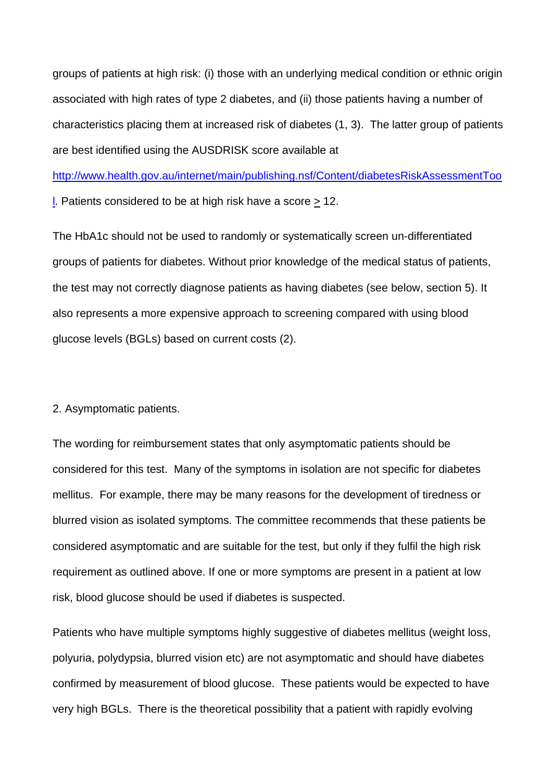groups of patients at high risk: (i) those with an underlying medical condition or ethnic origin associated with high rates of type 2 diabetes, and (ii) those patients having a number of characteristics placing them at increased risk of diabetes (1, 3). The latter group of patients are best identified using the AUSDRISK score available at

http://www.health.gov.au/internet/main/publishing.nsf/Content/diabetesRiskAssessmentToo

l. Patients considered to be at high risk have a score > 12.

The HbA1c should not be used to randomly or systematically screen un-differentiated groups of patients for diabetes. Without prior knowledge of the medical status of patients, the test may not correctly diagnose patients as having diabetes (see below, section 5). It also represents a more expensive approach to screening compared with using blood glucose levels (BGLs) based on current costs (2).

#### 2. Asymptomatic patients.

The wording for reimbursement states that only asymptomatic patients should be considered for this test. Many of the symptoms in isolation are not specific for diabetes mellitus. For example, there may be many reasons for the development of tiredness or blurred vision as isolated symptoms. The committee recommends that these patients be considered asymptomatic and are suitable for the test, but only if they fulfil the high risk requirement as outlined above. If one or more symptoms are present in a patient at low risk, blood glucose should be used if diabetes is suspected.

Patients who have multiple symptoms highly suggestive of diabetes mellitus (weight loss, polyuria, polydypsia, blurred vision etc) are not asymptomatic and should have diabetes confirmed by measurement of blood glucose. These patients would be expected to have very high BGLs. There is the theoretical possibility that a patient with rapidly evolving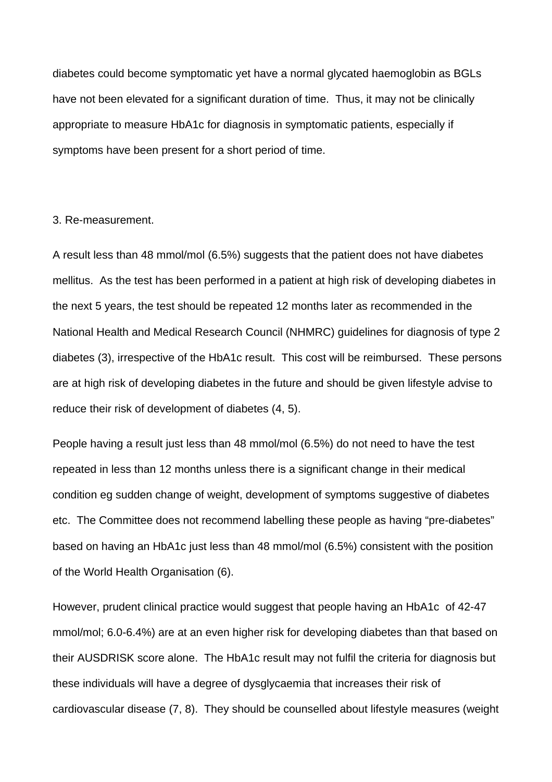diabetes could become symptomatic yet have a normal glycated haemoglobin as BGLs have not been elevated for a significant duration of time. Thus, it may not be clinically appropriate to measure HbA1c for diagnosis in symptomatic patients, especially if symptoms have been present for a short period of time.

#### 3. Re-measurement.

A result less than 48 mmol/mol (6.5%) suggests that the patient does not have diabetes mellitus. As the test has been performed in a patient at high risk of developing diabetes in the next 5 years, the test should be repeated 12 months later as recommended in the National Health and Medical Research Council (NHMRC) guidelines for diagnosis of type 2 diabetes (3), irrespective of the HbA1c result. This cost will be reimbursed. These persons are at high risk of developing diabetes in the future and should be given lifestyle advise to reduce their risk of development of diabetes (4, 5).

People having a result just less than 48 mmol/mol (6.5%) do not need to have the test repeated in less than 12 months unless there is a significant change in their medical condition eg sudden change of weight, development of symptoms suggestive of diabetes etc. The Committee does not recommend labelling these people as having "pre-diabetes" based on having an HbA1c just less than 48 mmol/mol (6.5%) consistent with the position of the World Health Organisation (6).

However, prudent clinical practice would suggest that people having an HbA1c of 42-47 mmol/mol; 6.0-6.4%) are at an even higher risk for developing diabetes than that based on their AUSDRISK score alone. The HbA1c result may not fulfil the criteria for diagnosis but these individuals will have a degree of dysglycaemia that increases their risk of cardiovascular disease (7, 8). They should be counselled about lifestyle measures (weight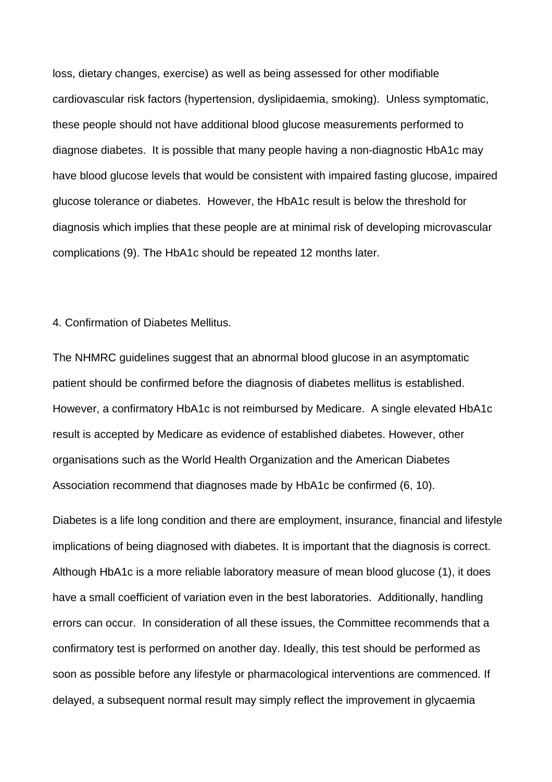loss, dietary changes, exercise) as well as being assessed for other modifiable cardiovascular risk factors (hypertension, dyslipidaemia, smoking). Unless symptomatic, these people should not have additional blood glucose measurements performed to diagnose diabetes. It is possible that many people having a non-diagnostic HbA1c may have blood glucose levels that would be consistent with impaired fasting glucose, impaired glucose tolerance or diabetes. However, the HbA1c result is below the threshold for diagnosis which implies that these people are at minimal risk of developing microvascular complications (9). The HbA1c should be repeated 12 months later.

#### 4. Confirmation of Diabetes Mellitus.

The NHMRC guidelines suggest that an abnormal blood glucose in an asymptomatic patient should be confirmed before the diagnosis of diabetes mellitus is established. However, a confirmatory HbA1c is not reimbursed by Medicare. A single elevated HbA1c result is accepted by Medicare as evidence of established diabetes. However, other organisations such as the World Health Organization and the American Diabetes Association recommend that diagnoses made by HbA1c be confirmed (6, 10).

Diabetes is a life long condition and there are employment, insurance, financial and lifestyle implications of being diagnosed with diabetes. It is important that the diagnosis is correct. Although HbA1c is a more reliable laboratory measure of mean blood glucose (1), it does have a small coefficient of variation even in the best laboratories. Additionally, handling errors can occur. In consideration of all these issues, the Committee recommends that a confirmatory test is performed on another day. Ideally, this test should be performed as soon as possible before any lifestyle or pharmacological interventions are commenced. If delayed, a subsequent normal result may simply reflect the improvement in glycaemia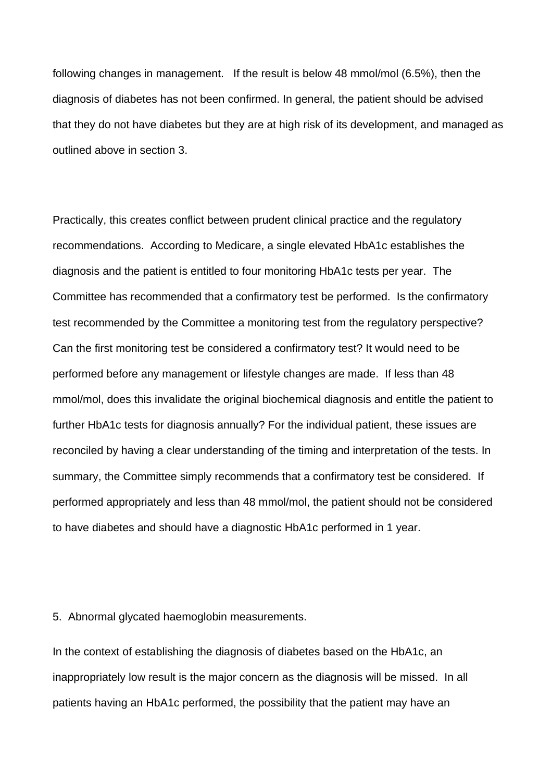following changes in management. If the result is below 48 mmol/mol (6.5%), then the diagnosis of diabetes has not been confirmed. In general, the patient should be advised that they do not have diabetes but they are at high risk of its development, and managed as outlined above in section 3.

Practically, this creates conflict between prudent clinical practice and the regulatory recommendations. According to Medicare, a single elevated HbA1c establishes the diagnosis and the patient is entitled to four monitoring HbA1c tests per year. The Committee has recommended that a confirmatory test be performed. Is the confirmatory test recommended by the Committee a monitoring test from the regulatory perspective? Can the first monitoring test be considered a confirmatory test? It would need to be performed before any management or lifestyle changes are made. If less than 48 mmol/mol, does this invalidate the original biochemical diagnosis and entitle the patient to further HbA1c tests for diagnosis annually? For the individual patient, these issues are reconciled by having a clear understanding of the timing and interpretation of the tests. In summary, the Committee simply recommends that a confirmatory test be considered. If performed appropriately and less than 48 mmol/mol, the patient should not be considered to have diabetes and should have a diagnostic HbA1c performed in 1 year.

### 5. Abnormal glycated haemoglobin measurements.

In the context of establishing the diagnosis of diabetes based on the HbA1c, an inappropriately low result is the major concern as the diagnosis will be missed. In all patients having an HbA1c performed, the possibility that the patient may have an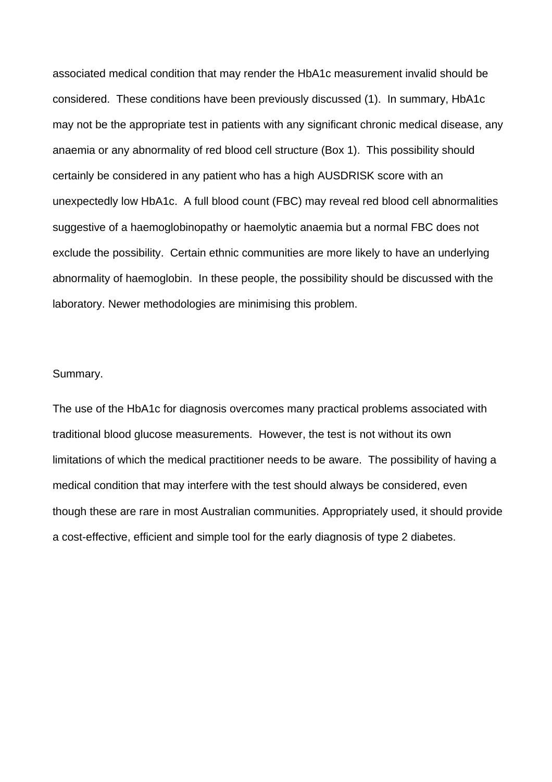associated medical condition that may render the HbA1c measurement invalid should be considered. These conditions have been previously discussed (1). In summary, HbA1c may not be the appropriate test in patients with any significant chronic medical disease, any anaemia or any abnormality of red blood cell structure (Box 1). This possibility should certainly be considered in any patient who has a high AUSDRISK score with an unexpectedly low HbA1c. A full blood count (FBC) may reveal red blood cell abnormalities suggestive of a haemoglobinopathy or haemolytic anaemia but a normal FBC does not exclude the possibility. Certain ethnic communities are more likely to have an underlying abnormality of haemoglobin. In these people, the possibility should be discussed with the laboratory. Newer methodologies are minimising this problem.

### Summary.

The use of the HbA1c for diagnosis overcomes many practical problems associated with traditional blood glucose measurements. However, the test is not without its own limitations of which the medical practitioner needs to be aware. The possibility of having a medical condition that may interfere with the test should always be considered, even though these are rare in most Australian communities. Appropriately used, it should provide a cost-effective, efficient and simple tool for the early diagnosis of type 2 diabetes.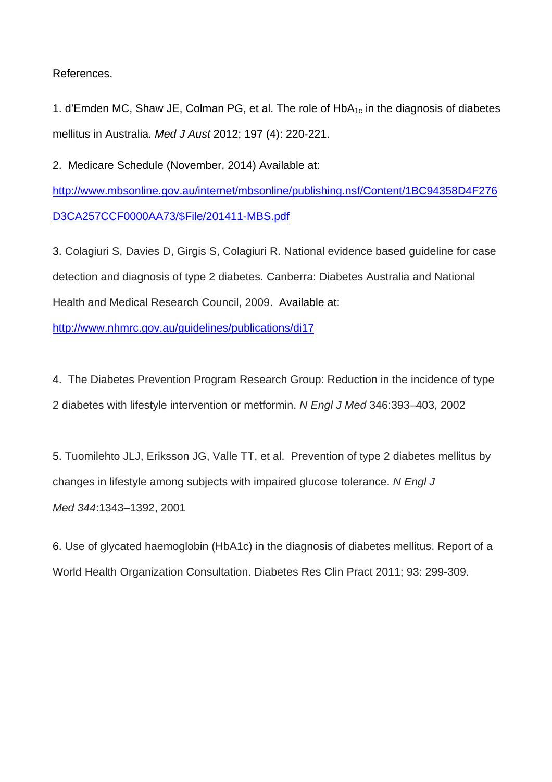References.

1. d'Emden MC, Shaw JE, Colman PG, et al. The role of  $HbA_{1c}$  in the diagnosis of diabetes mellitus in Australia. *Med J Aust* 2012; 197 (4): 220-221.

2. Medicare Schedule (November, 2014) Available at:

http://www.mbsonline.gov.au/internet/mbsonline/publishing.nsf/Content/1BC94358D4F276 D3CA257CCF0000AA73/\$File/201411-MBS.pdf

3. Colagiuri S, Davies D, Girgis S, Colagiuri R. National evidence based guideline for case detection and diagnosis of type 2 diabetes. Canberra: Diabetes Australia and National Health and Medical Research Council, 2009. Available at:

http://www.nhmrc.gov.au/guidelines/publications/di17

4. The Diabetes Prevention Program Research Group: Reduction in the incidence of type 2 diabetes with lifestyle intervention or metformin. *N Engl J Med* 346:393–403, 2002

5. Tuomilehto JLJ, Eriksson JG, Valle TT, et al. Prevention of type 2 diabetes mellitus by changes in lifestyle among subjects with impaired glucose tolerance. *N Engl J Med 344*:1343–1392, 2001

6. Use of glycated haemoglobin (HbA1c) in the diagnosis of diabetes mellitus. Report of a World Health Organization Consultation. Diabetes Res Clin Pract 2011; 93: 299-309.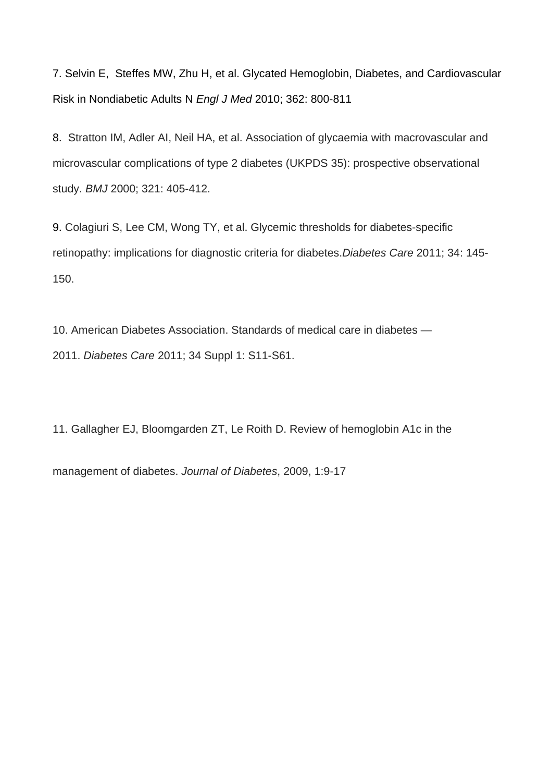7. Selvin E, Steffes MW, Zhu H, et al. Glycated Hemoglobin, Diabetes, and Cardiovascular Risk in Nondiabetic Adults N *Engl J Med* 2010; 362: 800-811

8. Stratton IM, Adler AI, Neil HA, et al. Association of glycaemia with macrovascular and microvascular complications of type 2 diabetes (UKPDS 35): prospective observational study. *BMJ* 2000; 321: 405-412.

9. Colagiuri S, Lee CM, Wong TY, et al. Glycemic thresholds for diabetes-specific retinopathy: implications for diagnostic criteria for diabetes.*Diabetes Care* 2011; 34: 145- 150.

10. American Diabetes Association. Standards of medical care in diabetes — 2011. *Diabetes Care* 2011; 34 Suppl 1: S11-S61.

11. Gallagher EJ, Bloomgarden ZT, Le Roith D. Review of hemoglobin A1c in the

management of diabetes. *Journal of Diabetes*, 2009, 1:9-17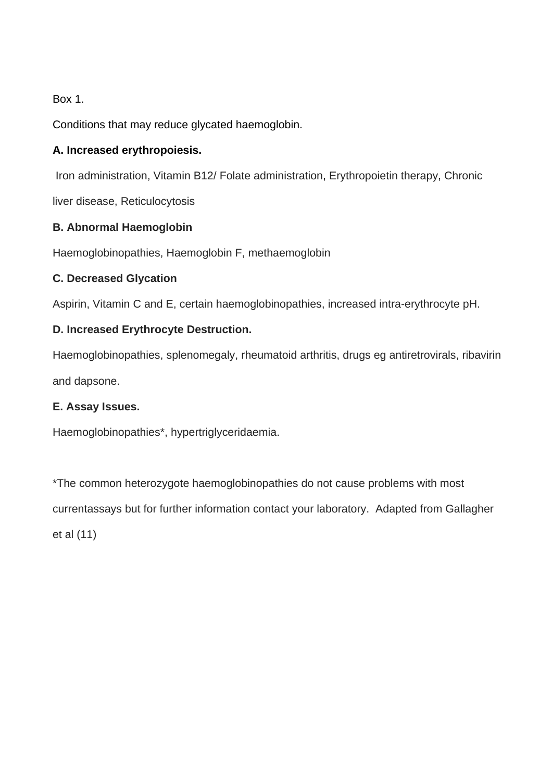Box 1.

Conditions that may reduce glycated haemoglobin.

# **A. Increased erythropoiesis.**

Iron administration, Vitamin B12/ Folate administration, Erythropoietin therapy, Chronic

liver disease, Reticulocytosis

## **B. Abnormal Haemoglobin**

Haemoglobinopathies, Haemoglobin F, methaemoglobin

## **C. Decreased Glycation**

Aspirin, Vitamin C and E, certain haemoglobinopathies, increased intra-erythrocyte pH.

# **D. Increased Erythrocyte Destruction.**

Haemoglobinopathies, splenomegaly, rheumatoid arthritis, drugs eg antiretrovirals, ribavirin and dapsone.

### **E. Assay Issues.**

Haemoglobinopathies\*, hypertriglyceridaemia.

\*The common heterozygote haemoglobinopathies do not cause problems with most currentassays but for further information contact your laboratory. Adapted from Gallagher et al (11)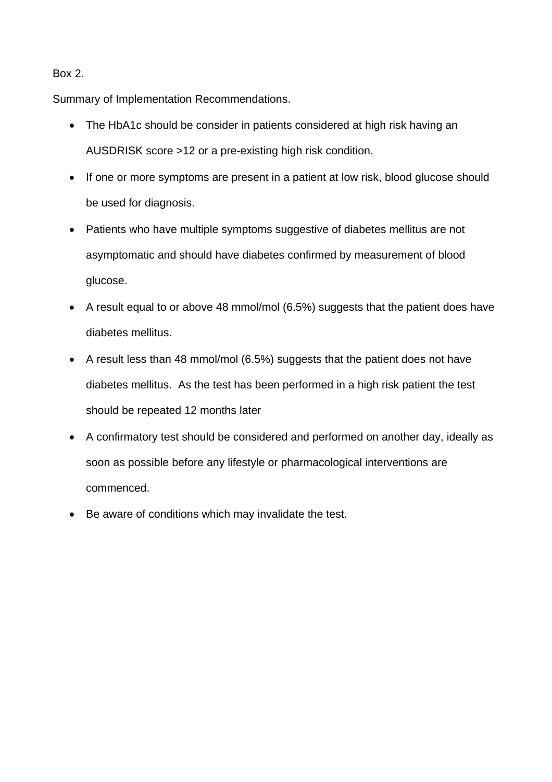### Box 2.

Summary of Implementation Recommendations.

- The HbA1c should be consider in patients considered at high risk having an AUSDRISK score >12 or a pre-existing high risk condition.
- If one or more symptoms are present in a patient at low risk, blood glucose should be used for diagnosis.
- Patients who have multiple symptoms suggestive of diabetes mellitus are not asymptomatic and should have diabetes confirmed by measurement of blood glucose.
- A result equal to or above 48 mmol/mol (6.5%) suggests that the patient does have diabetes mellitus.
- A result less than 48 mmol/mol (6.5%) suggests that the patient does not have diabetes mellitus. As the test has been performed in a high risk patient the test should be repeated 12 months later
- A confirmatory test should be considered and performed on another day, ideally as soon as possible before any lifestyle or pharmacological interventions are commenced.
- Be aware of conditions which may invalidate the test.